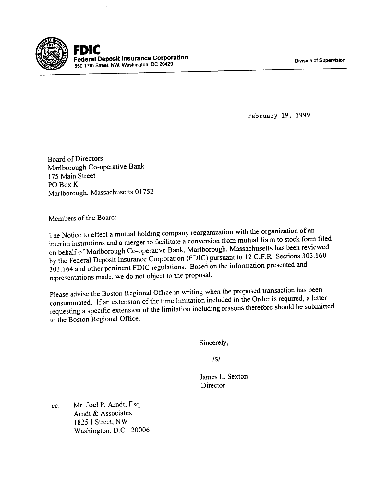

, **Federal Deposit Insurance Corporation Calcular Calcular Calcular Calcular Calcular Calcular Calcular Street, Inc. 2012**<br>550 17th Street, NW, Washington, DC 20429 Division **of Supervision and Street, Inc.** 2014

February 19, 1999

Board of Directors Marlborough Co-operative Bank 175 Main Street P0 Box K Marlborough, Massachusetts 01752

Members of the Board:

The Notice to effect a mutual holding company reorganization with the organization of an interim institutions and a merger to facilitate a conversion from mutual form to stock form filed on behalf of Marlborough Co-operative Bank, Marlborough, Massachusetts has been reviewed by the Federal Deposit Insurance Corporation (FDIC) pursuant to 12 C.F.R. Sections 303.160 - 303.164 and other pertinent FDIC regulations. Based on the information presented and representations made, we do not object to the proposal.

Please advise the Boston Regional Office in writing when the proposed transaction has been consummated. If an extension of the time limitation included in the Order is required, a letter requesting a specific extension of the limitation including reasonstherefore should be submitted to the Boston Regional Office.

Sincerely,

/s/

James L. Sexton **Director** 

cc: Mr. Joel P. Arndt, Esq. Arndt & Associates 1825 I Street, NW Washington, D.C. 20006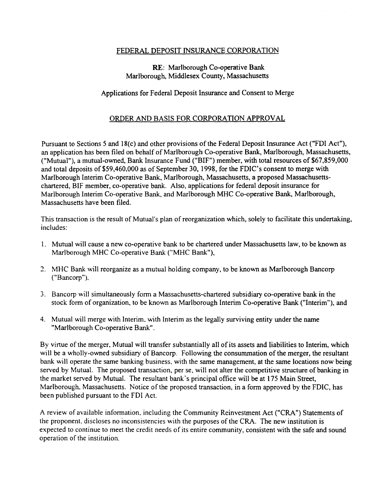## FEDERAL DEPOSIT INSURANCE CORPORATION

## RE: Marlborough Co-operative Bank Marlborough, Middlesex County, Massachusetts

## Applications for Federal Deposit Insurance and Consent to Merge

## ORDER AND BASIS FOR CORPORATION APPROVAL

Pursuant to Sections 5 and 18(c) and other provisions of the Federal Deposit Insurance Act ("FDI Act"), an application has been filed on behalf of Marlborough Co-operative Bank, Marlborough, Massachusetts, ("Mutual"), a mutual-owned, Bank Insurance Fund ("BIF") member, with total resources of \$67,859,000 and total deposits of \$59,460,000 as of September 30, 1998, for the FDIC's consent to merge with Marlborough Interim Co-operative Bank, Marlborough, Massachusetts, a proposed Massachusettschartered, BIF member, co-operative bank. Also, applications for federal deposit insurance for Marlborough Interim Co-operative Bank, and Marlborough MHC Co-operative Bank, Marlborough, Massachusetts have been filed.

This transaction is the result of Mutual's plan of reorganization which, solely to facilitate this undertaking, includes:

- 1. Mutual will cause a new co-operative bank to be chartered under Massachusetts law, to be known as Marlborough MHC Co-operative Bank ("MHC Bank"),
- .., MHC Bank will reorganize as a mutual holding company, to be known as Marlborough Bancorp ("Bancorp").
- 3. Bancorp will simultaneously form a Massachusetts-chartered subsidiary co-operative bank in the stock form of organization, to be known as Marlborough Interim Co-operative Bank ("Interim"), and
- 4. Mutual will merge with Interim. with Interim as the legally surviving entity under the name "Marlborough Co-operative Bank".

By virtue of the merger, Mutual will transfer substantially all of its assets and liabilities to Interim, which will be a wholly-owned subsidiary of Bancorp. Following the consummation of the merger, the resultant bank will operate the same banking business. with the same management, at the same locations now being served by Mutual. The proposed transaction, per se, will not alter the competitive structure of banking in the market served by Mutual. The resultant bank's principal office will be at 175 Main Street, Marlborough, Massachusetts. Notice of the proposed transaction, in a form approved by the FDIC, has been published pursuant to the FDI Act.

A review of available information. including the Community Reinvestment Act ("CRA") Statements of the proponent. discloses no inconsistencies with the purposes of the CRA. The new institution is expected to continue to meet the credit needs of its entire community, consistent with the safe and sound operation of the institution.